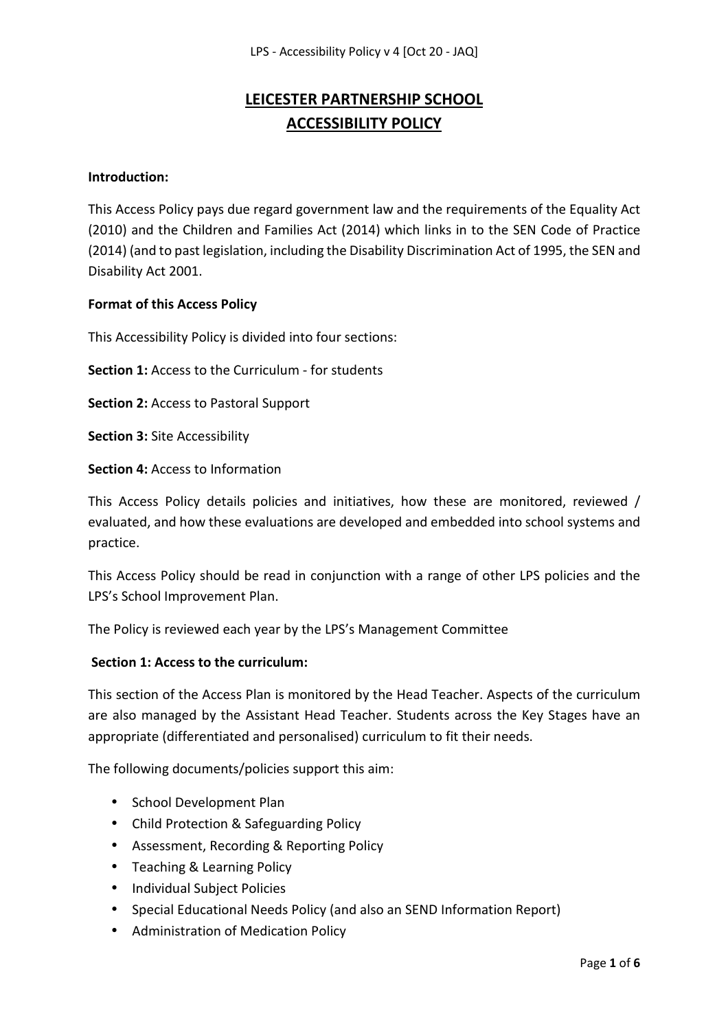# **LEICESTER PARTNERSHIP SCHOOL ACCESSIBILITY POLICY**

#### **Introduction:**

This Access Policy pays due regard government law and the requirements of the Equality Act (2010) and the Children and Families Act (2014) which links in to the SEN Code of Practice (2014) (and to past legislation, including the Disability Discrimination Act of 1995, the SEN and Disability Act 2001.

#### **Format of this Access Policy**

This Accessibility Policy is divided into four sections:

**Section 1:** Access to the Curriculum - for students

**Section 2:** Access to Pastoral Support

**Section 3:** Site Accessibility

**Section 4:** Access to Information

This Access Policy details policies and initiatives, how these are monitored, reviewed / evaluated, and how these evaluations are developed and embedded into school systems and practice.

This Access Policy should be read in conjunction with a range of other LPS policies and the LPS's School Improvement Plan.

The Policy is reviewed each year by the LPS's Management Committee

#### **Section 1: Access to the curriculum:**

This section of the Access Plan is monitored by the Head Teacher. Aspects of the curriculum are also managed by the Assistant Head Teacher. Students across the Key Stages have an appropriate (differentiated and personalised) curriculum to fit their needs.

The following documents/policies support this aim:

- School Development Plan
- Child Protection & Safeguarding Policy
- Assessment, Recording & Reporting Policy
- Teaching & Learning Policy
- Individual Subject Policies
- Special Educational Needs Policy (and also an SEND Information Report)
- Administration of Medication Policy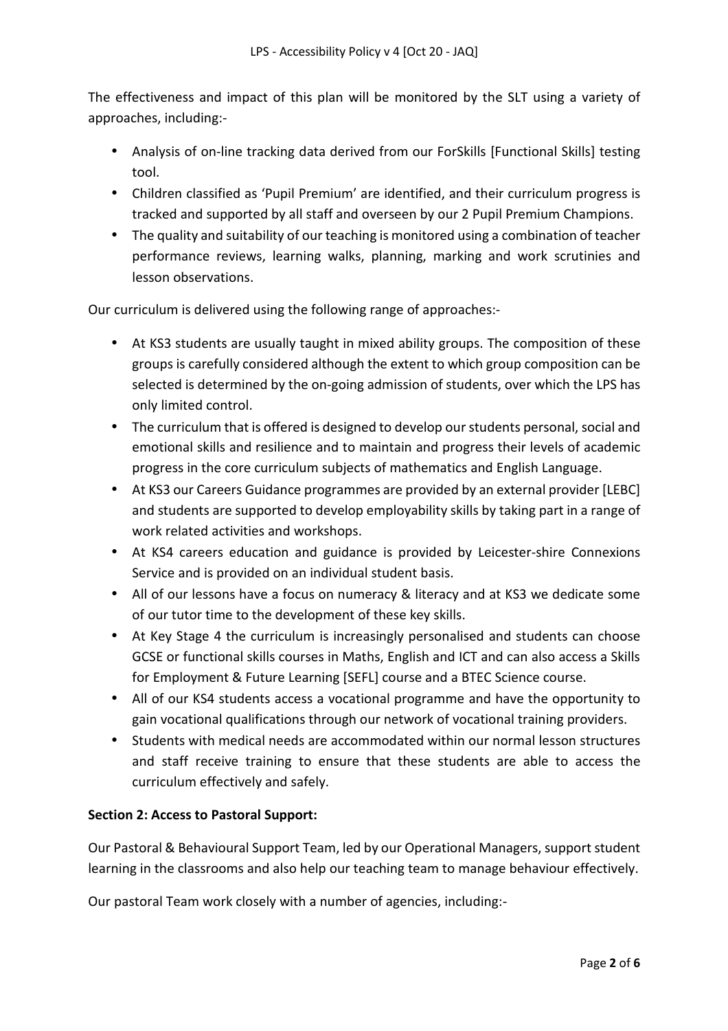The effectiveness and impact of this plan will be monitored by the SLT using a variety of approaches, including:-

- Analysis of on-line tracking data derived from our ForSkills [Functional Skills] testing tool.
- Children classified as 'Pupil Premium' are identified, and their curriculum progress is tracked and supported by all staff and overseen by our 2 Pupil Premium Champions.
- The quality and suitability of our teaching is monitored using a combination of teacher performance reviews, learning walks, planning, marking and work scrutinies and lesson observations.

Our curriculum is delivered using the following range of approaches:-

- At KS3 students are usually taught in mixed ability groups. The composition of these groups is carefully considered although the extent to which group composition can be selected is determined by the on-going admission of students, over which the LPS has only limited control.
- The curriculum that is offered is designed to develop our students personal, social and emotional skills and resilience and to maintain and progress their levels of academic progress in the core curriculum subjects of mathematics and English Language.
- At KS3 our Careers Guidance programmes are provided by an external provider [LEBC] and students are supported to develop employability skills by taking part in a range of work related activities and workshops.
- At KS4 careers education and guidance is provided by Leicester-shire Connexions Service and is provided on an individual student basis.
- All of our lessons have a focus on numeracy & literacy and at KS3 we dedicate some of our tutor time to the development of these key skills.
- At Key Stage 4 the curriculum is increasingly personalised and students can choose GCSE or functional skills courses in Maths, English and ICT and can also access a Skills for Employment & Future Learning [SEFL] course and a BTEC Science course.
- All of our KS4 students access a vocational programme and have the opportunity to gain vocational qualifications through our network of vocational training providers.
- Students with medical needs are accommodated within our normal lesson structures and staff receive training to ensure that these students are able to access the curriculum effectively and safely.

## **Section 2: Access to Pastoral Support:**

Our Pastoral & Behavioural Support Team, led by our Operational Managers, support student learning in the classrooms and also help our teaching team to manage behaviour effectively.

Our pastoral Team work closely with a number of agencies, including:-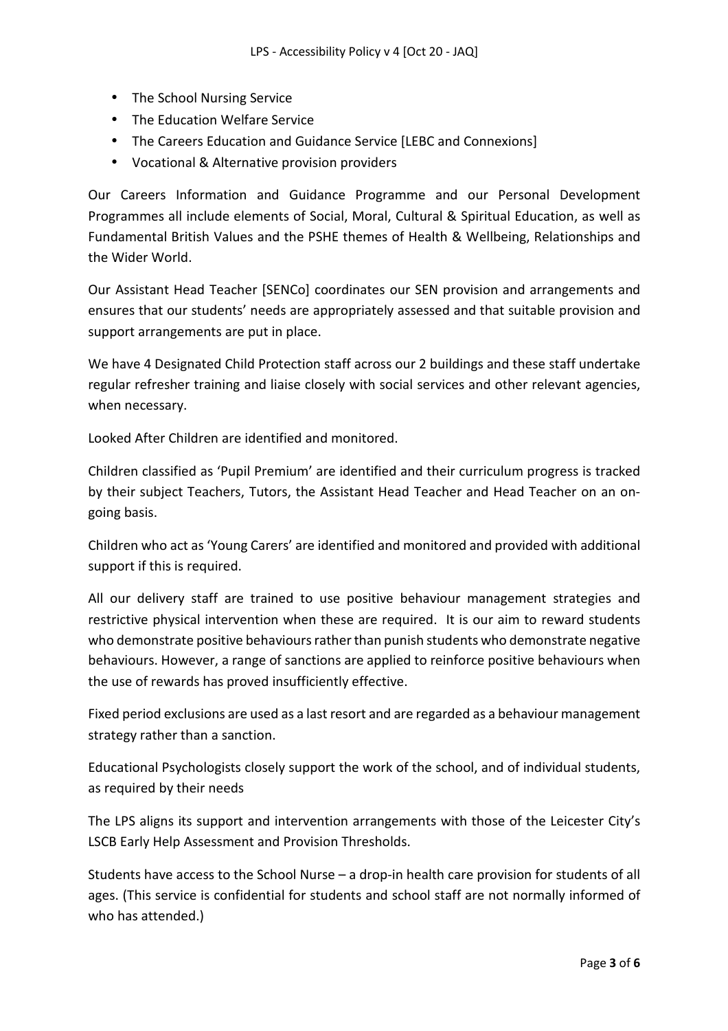- The School Nursing Service
- The Education Welfare Service
- The Careers Education and Guidance Service [LEBC and Connexions]
- Vocational & Alternative provision providers

Our Careers Information and Guidance Programme and our Personal Development Programmes all include elements of Social, Moral, Cultural & Spiritual Education, as well as Fundamental British Values and the PSHE themes of Health & Wellbeing, Relationships and the Wider World.

Our Assistant Head Teacher [SENCo] coordinates our SEN provision and arrangements and ensures that our students' needs are appropriately assessed and that suitable provision and support arrangements are put in place.

We have 4 Designated Child Protection staff across our 2 buildings and these staff undertake regular refresher training and liaise closely with social services and other relevant agencies, when necessary.

Looked After Children are identified and monitored.

Children classified as 'Pupil Premium' are identified and their curriculum progress is tracked by their subject Teachers, Tutors, the Assistant Head Teacher and Head Teacher on an ongoing basis.

Children who act as 'Young Carers' are identified and monitored and provided with additional support if this is required.

All our delivery staff are trained to use positive behaviour management strategies and restrictive physical intervention when these are required. It is our aim to reward students who demonstrate positive behaviours rather than punish students who demonstrate negative behaviours. However, a range of sanctions are applied to reinforce positive behaviours when the use of rewards has proved insufficiently effective.

Fixed period exclusions are used as a last resort and are regarded as a behaviour management strategy rather than a sanction.

Educational Psychologists closely support the work of the school, and of individual students, as required by their needs

The LPS aligns its support and intervention arrangements with those of the Leicester City's LSCB Early Help Assessment and Provision Thresholds.

Students have access to the School Nurse – a drop-in health care provision for students of all ages. (This service is confidential for students and school staff are not normally informed of who has attended.)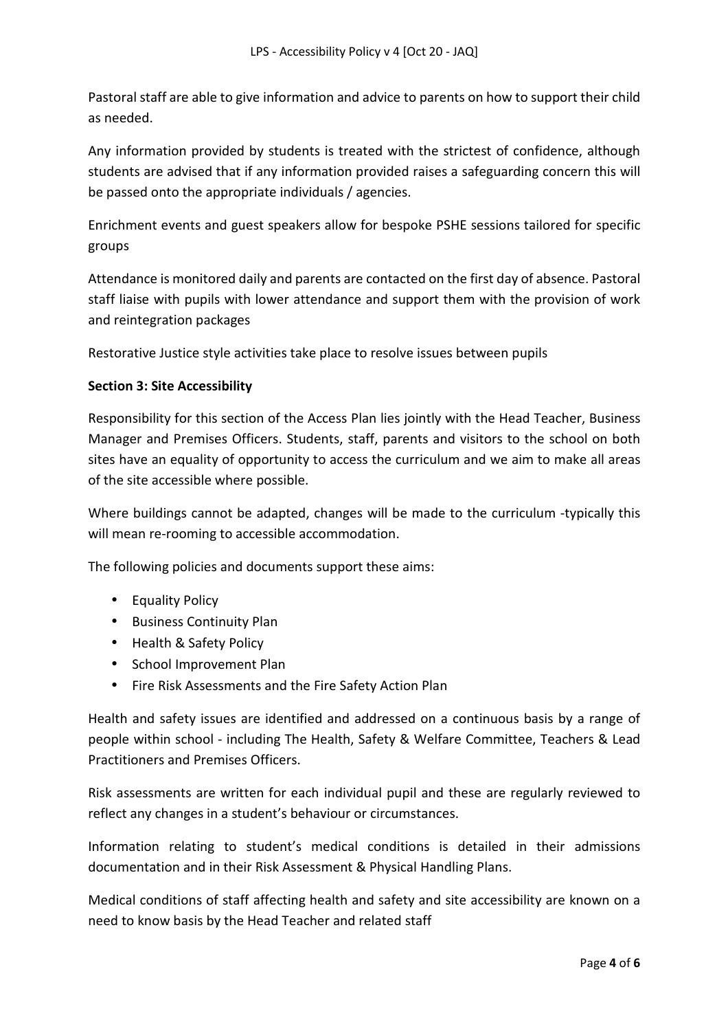Pastoral staff are able to give information and advice to parents on how to support their child as needed.

Any information provided by students is treated with the strictest of confidence, although students are advised that if any information provided raises a safeguarding concern this will be passed onto the appropriate individuals / agencies.

Enrichment events and guest speakers allow for bespoke PSHE sessions tailored for specific groups

Attendance is monitored daily and parents are contacted on the first day of absence. Pastoral staff liaise with pupils with lower attendance and support them with the provision of work and reintegration packages

Restorative Justice style activities take place to resolve issues between pupils

### **Section 3: Site Accessibility**

Responsibility for this section of the Access Plan lies jointly with the Head Teacher, Business Manager and Premises Officers. Students, staff, parents and visitors to the school on both sites have an equality of opportunity to access the curriculum and we aim to make all areas of the site accessible where possible.

Where buildings cannot be adapted, changes will be made to the curriculum -typically this will mean re-rooming to accessible accommodation.

The following policies and documents support these aims:

- Equality Policy
- Business Continuity Plan
- Health & Safety Policy
- School Improvement Plan
- Fire Risk Assessments and the Fire Safety Action Plan

Health and safety issues are identified and addressed on a continuous basis by a range of people within school - including The Health, Safety & Welfare Committee, Teachers & Lead Practitioners and Premises Officers.

Risk assessments are written for each individual pupil and these are regularly reviewed to reflect any changes in a student's behaviour or circumstances.

Information relating to student's medical conditions is detailed in their admissions documentation and in their Risk Assessment & Physical Handling Plans.

Medical conditions of staff affecting health and safety and site accessibility are known on a need to know basis by the Head Teacher and related staff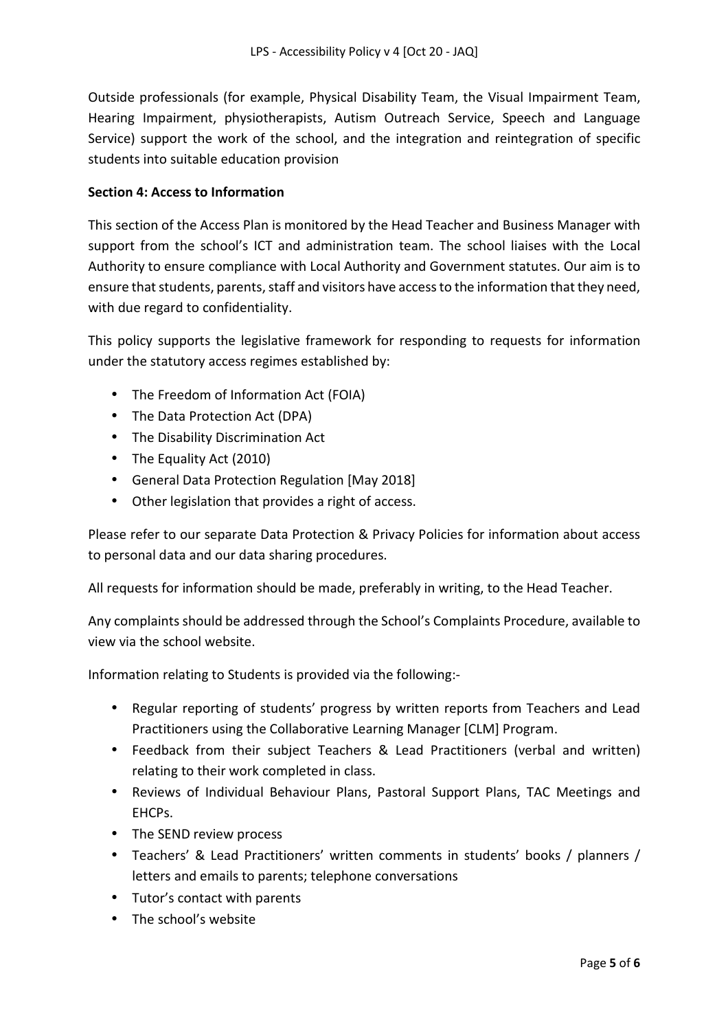Outside professionals (for example, Physical Disability Team, the Visual Impairment Team, Hearing Impairment, physiotherapists, Autism Outreach Service, Speech and Language Service) support the work of the school, and the integration and reintegration of specific students into suitable education provision

## **Section 4: Access to Information**

This section of the Access Plan is monitored by the Head Teacher and Business Manager with support from the school's ICT and administration team. The school liaises with the Local Authority to ensure compliance with Local Authority and Government statutes. Our aim is to ensure that students, parents, staff and visitors have access to the information that they need, with due regard to confidentiality.

This policy supports the legislative framework for responding to requests for information under the statutory access regimes established by:

- The Freedom of Information Act (FOIA)
- The Data Protection Act (DPA)
- The Disability Discrimination Act
- The Equality Act (2010)
- General Data Protection Regulation [May 2018]
- Other legislation that provides a right of access.

Please refer to our separate Data Protection & Privacy Policies for information about access to personal data and our data sharing procedures.

All requests for information should be made, preferably in writing, to the Head Teacher.

Any complaints should be addressed through the School's Complaints Procedure, available to view via the school website.

Information relating to Students is provided via the following:-

- Regular reporting of students' progress by written reports from Teachers and Lead Practitioners using the Collaborative Learning Manager [CLM] Program.
- Feedback from their subject Teachers & Lead Practitioners (verbal and written) relating to their work completed in class.
- Reviews of Individual Behaviour Plans, Pastoral Support Plans, TAC Meetings and EHCPs.
- The SEND review process
- Teachers' & Lead Practitioners' written comments in students' books / planners / letters and emails to parents; telephone conversations
- Tutor's contact with parents
- The school's website